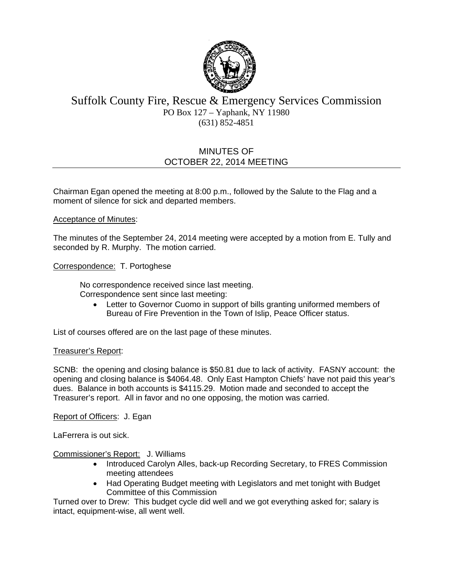

# Suffolk County Fire, Rescue & Emergency Services Commission PO Box 127 – Yaphank, NY 11980 (631) 852-4851

# MINUTES OF OCTOBER 22, 2014 MEETING

Chairman Egan opened the meeting at 8:00 p.m., followed by the Salute to the Flag and a moment of silence for sick and departed members.

### Acceptance of Minutes:

The minutes of the September 24, 2014 meeting were accepted by a motion from E. Tully and seconded by R. Murphy. The motion carried.

### Correspondence: T. Portoghese

No correspondence received since last meeting. Correspondence sent since last meeting:

 Letter to Governor Cuomo in support of bills granting uniformed members of Bureau of Fire Prevention in the Town of Islip, Peace Officer status.

List of courses offered are on the last page of these minutes.

#### Treasurer's Report:

SCNB: the opening and closing balance is \$50.81 due to lack of activity. FASNY account: the opening and closing balance is \$4064.48. Only East Hampton Chiefs' have not paid this year's dues. Balance in both accounts is \$4115.29. Motion made and seconded to accept the Treasurer's report. All in favor and no one opposing, the motion was carried.

Report of Officers: J. Egan

LaFerrera is out sick.

Commissioner's Report: J. Williams

- Introduced Carolyn Alles, back-up Recording Secretary, to FRES Commission meeting attendees
- Had Operating Budget meeting with Legislators and met tonight with Budget Committee of this Commission

Turned over to Drew: This budget cycle did well and we got everything asked for; salary is intact, equipment-wise, all went well.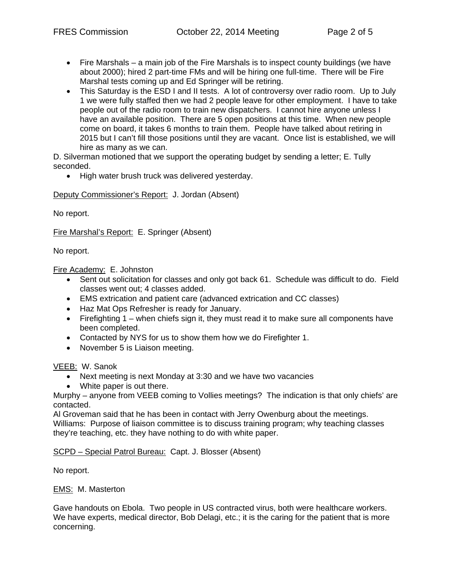- Fire Marshals a main job of the Fire Marshals is to inspect county buildings (we have about 2000); hired 2 part-time FMs and will be hiring one full-time. There will be Fire Marshal tests coming up and Ed Springer will be retiring.
- This Saturday is the ESD I and II tests. A lot of controversy over radio room. Up to July 1 we were fully staffed then we had 2 people leave for other employment. I have to take people out of the radio room to train new dispatchers. I cannot hire anyone unless I have an available position. There are 5 open positions at this time. When new people come on board, it takes 6 months to train them. People have talked about retiring in 2015 but I can't fill those positions until they are vacant. Once list is established, we will hire as many as we can.

D. Silverman motioned that we support the operating budget by sending a letter; E. Tully seconded.

• High water brush truck was delivered yesterday.

Deputy Commissioner's Report: J. Jordan (Absent)

No report.

Fire Marshal's Report: E. Springer (Absent)

No report.

Fire Academy: E. Johnston

- Sent out solicitation for classes and only got back 61. Schedule was difficult to do. Field classes went out; 4 classes added.
- EMS extrication and patient care (advanced extrication and CC classes)
- Haz Mat Ops Refresher is ready for January.
- Firefighting 1 when chiefs sign it, they must read it to make sure all components have been completed.
- Contacted by NYS for us to show them how we do Firefighter 1.
- November 5 is Liaison meeting.

VEEB: W. Sanok

- Next meeting is next Monday at 3:30 and we have two vacancies
- White paper is out there.

Murphy – anyone from VEEB coming to Vollies meetings? The indication is that only chiefs' are contacted.

Al Groveman said that he has been in contact with Jerry Owenburg about the meetings. Williams: Purpose of liaison committee is to discuss training program; why teaching classes they're teaching, etc. they have nothing to do with white paper.

SCPD – Special Patrol Bureau: Capt. J. Blosser (Absent)

No report.

EMS: M. Masterton

Gave handouts on Ebola. Two people in US contracted virus, both were healthcare workers. We have experts, medical director, Bob Delagi, etc.; it is the caring for the patient that is more concerning.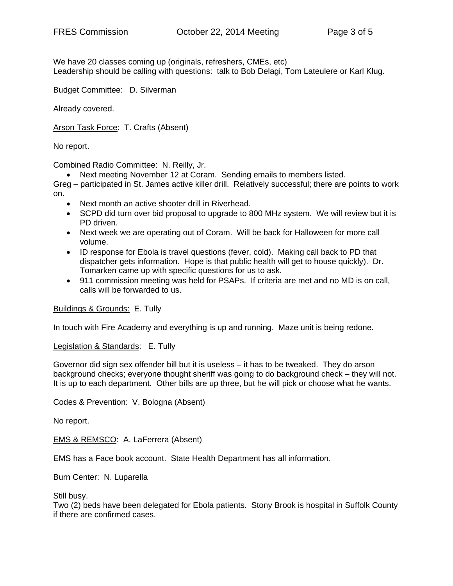We have 20 classes coming up (originals, refreshers, CMEs, etc) Leadership should be calling with questions: talk to Bob Delagi, Tom Lateulere or Karl Klug.

Budget Committee: D. Silverman

Already covered.

Arson Task Force: T. Crafts (Absent)

No report.

Combined Radio Committee: N. Reilly, Jr.

Next meeting November 12 at Coram. Sending emails to members listed.

Greg – participated in St. James active killer drill. Relatively successful; there are points to work on.

- Next month an active shooter drill in Riverhead.
- SCPD did turn over bid proposal to upgrade to 800 MHz system. We will review but it is PD driven.
- Next week we are operating out of Coram. Will be back for Halloween for more call volume.
- ID response for Ebola is travel questions (fever, cold). Making call back to PD that dispatcher gets information. Hope is that public health will get to house quickly). Dr. Tomarken came up with specific questions for us to ask.
- 911 commission meeting was held for PSAPs. If criteria are met and no MD is on call, calls will be forwarded to us.

Buildings & Grounds: E. Tully

In touch with Fire Academy and everything is up and running. Maze unit is being redone.

Legislation & Standards: E. Tully

Governor did sign sex offender bill but it is useless – it has to be tweaked. They do arson background checks; everyone thought sheriff was going to do background check – they will not. It is up to each department. Other bills are up three, but he will pick or choose what he wants.

Codes & Prevention: V. Bologna (Absent)

No report.

EMS & REMSCO: A. LaFerrera (Absent)

EMS has a Face book account. State Health Department has all information.

Burn Center: N. Luparella

Still busy.

Two (2) beds have been delegated for Ebola patients. Stony Brook is hospital in Suffolk County if there are confirmed cases.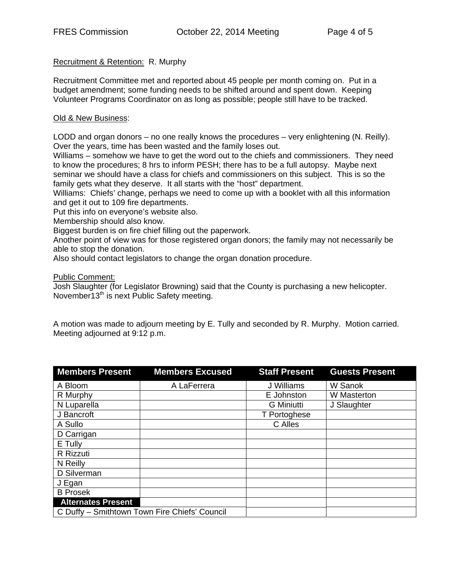## Recruitment & Retention: R. Murphy

Recruitment Committee met and reported about 45 people per month coming on. Put in a budget amendment; some funding needs to be shifted around and spent down. Keeping Volunteer Programs Coordinator on as long as possible; people still have to be tracked.

### Old & New Business:

LODD and organ donors – no one really knows the procedures – very enlightening (N. Reilly). Over the years, time has been wasted and the family loses out.

Williams – somehow we have to get the word out to the chiefs and commissioners. They need to know the procedures; 8 hrs to inform PESH; there has to be a full autopsy. Maybe next seminar we should have a class for chiefs and commissioners on this subject. This is so the family gets what they deserve. It all starts with the "host" department.

Williams: Chiefs' change, perhaps we need to come up with a booklet with all this information and get it out to 109 fire departments.

Put this info on everyone's website also.

Membership should also know.

Biggest burden is on fire chief filling out the paperwork.

Another point of view was for those registered organ donors; the family may not necessarily be able to stop the donation.

Also should contact legislators to change the organ donation procedure.

Public Comment:

Josh Slaughter (for Legislator Browning) said that the County is purchasing a new helicopter. November13<sup>th</sup> is next Public Safety meeting.

A motion was made to adjourn meeting by E. Tully and seconded by R. Murphy. Motion carried. Meeting adjourned at 9:12 p.m.

| <b>Members Present</b>                        | <b>Members Excused</b> | <b>Staff Present</b> | <b>Guests Present</b> |
|-----------------------------------------------|------------------------|----------------------|-----------------------|
| A Bloom                                       | A LaFerrera            | J Williams           | W Sanok               |
| R Murphy                                      |                        | E Johnston           | W Masterton           |
| N Luparella                                   |                        | <b>G</b> Miniutti    | J Slaughter           |
| J Bancroft                                    |                        | T Portoghese         |                       |
| A Sullo                                       |                        | C Alles              |                       |
| D Carrigan                                    |                        |                      |                       |
| E Tully                                       |                        |                      |                       |
| R Rizzuti                                     |                        |                      |                       |
| N Reilly                                      |                        |                      |                       |
| D Silverman                                   |                        |                      |                       |
| J Egan                                        |                        |                      |                       |
| <b>B</b> Prosek                               |                        |                      |                       |
| <b>Alternates Present</b>                     |                        |                      |                       |
| C Duffy - Smithtown Town Fire Chiefs' Council |                        |                      |                       |